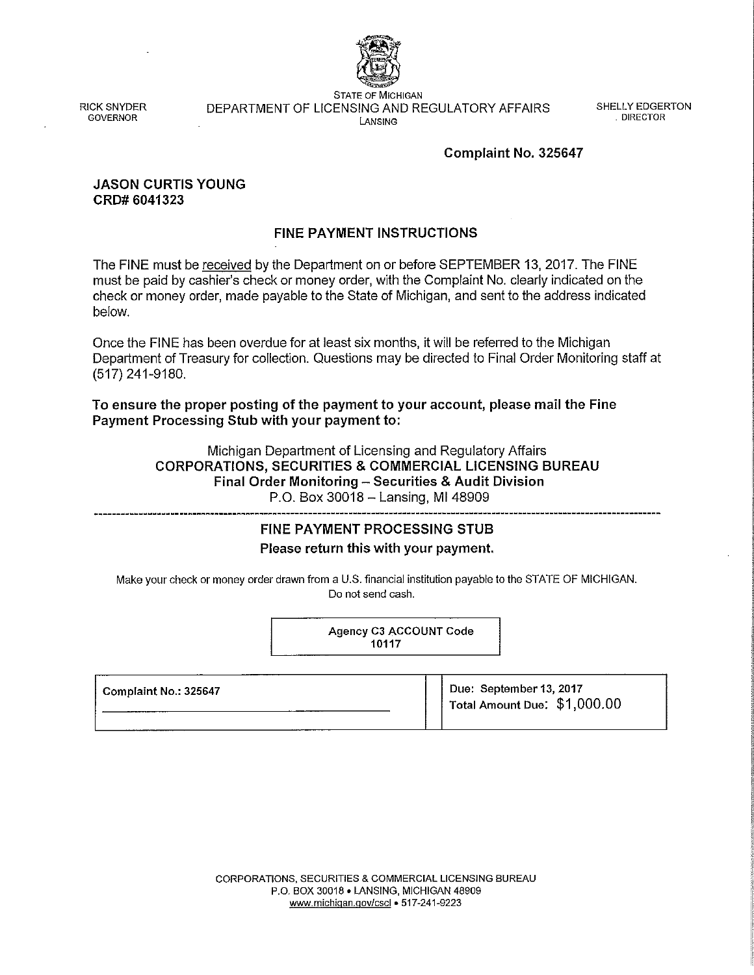

RICK SNYDER GOVERNOR

STATE OF MICHIGAN DEPARTMENT OF LICENSING AND REGULATORY AFFAIRS LANSING

SHELLY EDGERTON . DIRECTOR

#### Complaint No. 325647

#### JASON CURTIS YOUNG CRD# 6041323

## FINE PAYMENT INSTRUCTIONS

The FINE must be received by the Department on or before SEPTEMBER 13, 2017. The FINE must be paid by cashier's check or money order, with the Complaint No. clearly indicated on the check or money order, made payable to the State of Michigan, and sent to the address indicated below.

Once the FINE has been overdue for at least six months, it will be referred to the Michigan Department of Treasury for collection. Questions may be directed to Final Order Monitoring staff at (517) 241-9180.

To ensure the proper posting of the payment to your account, please mail the Fine Payment Processing Stub with your payment to:

> Michigan Department of Licensing and Regulatory Affairs CORPORATIONS, SECURITIES & COMMERCIAL LICENSING BUREAU Final Order Monitoring - Securities & Audit Division P.O. Box 30018- Lansing, Ml 48909

# FINE PAYMENT PROCESSING STUB

#### Please return this with your payment.

Make your check or money order drawn from a U.S. financial institution payable to the STATE OF MICHIGAN. Do not send cash.

> Agency C3 ACCOUNT Code 10117

| Complaint No.: 325647 | Due: September 13, 2017<br>Total Amount Due: \$1,000.00 |
|-----------------------|---------------------------------------------------------|
|                       |                                                         |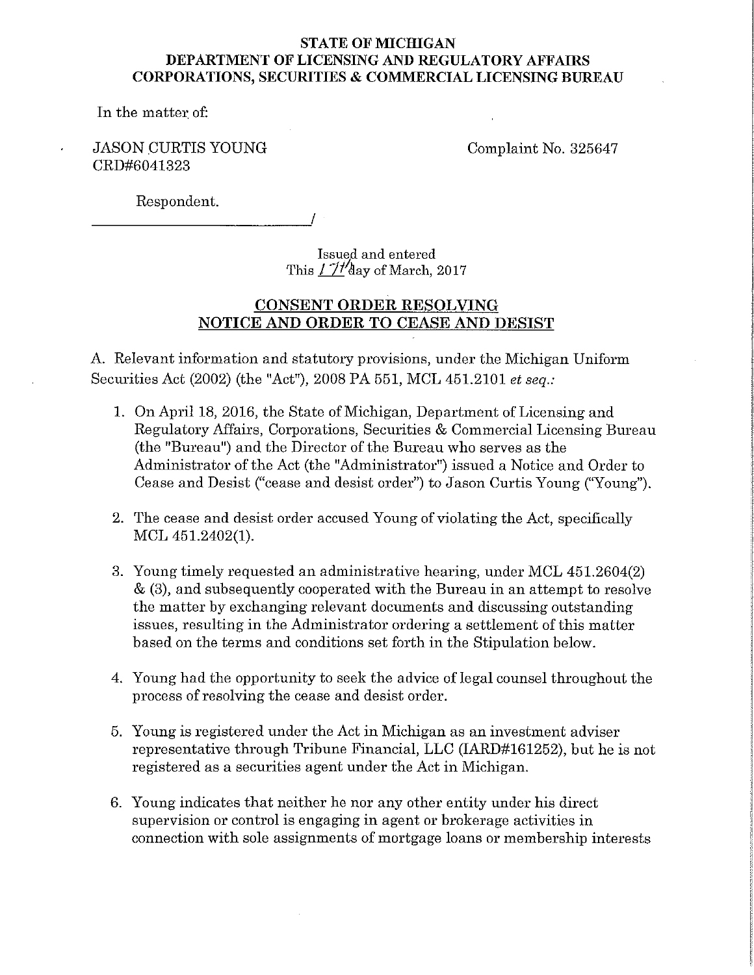# **STATE OF MICHIGAN DEPARTMENT OF LICENSING AND REGULATORY AFFAIRS CORPORATIONS, SECURITIES & COMMERCIAL LICENSING BUREAU**

In the matter of:

# JASON CURTIS YOUNG CRD#6041323

Complaint No. 325647

Respondent.

Issued and entered This  $1774$  day of March, 2017

# **CONSENT ORDER RESOLVING NOTICE AND ORDER TO CEASE AND DESIST**

A. Relevant information and statutory provisions, under the Michigan Uniform Securities Act (2002) (the "Act"), 2008 PA 551, MCL 451.2101 *et seq.:* 

- 1. On April 18, 2016, the State of Michigan, Department of Licensing and Regulatory Affairs, Corporations, Securities & Commercial Licensing Bureau (the "Bureau") and the Director of the Bureau who serves as the Administrator of the Act (the "Administrator") issued a Notice and Order to Cease and Desist ("cease and desist order") to Jason Curtis Young (''Young").
- 2. The cease and desist order accused Young of violating the Act, specifically MCL 451.2402(1).
- 3. Young timely requested an administrative hearing, under MCL 451.2604(2) & (3), and subsequently cooperated with the Bureau in an attempt to resolve the matter by exchanging relevant documents and discussing outstanding issues, resulting in the Administrator ordering a settlement of this matter based on the terms and conditions set forth in the Stipulation below.
- 4. Young had the opportunity to seek the advice of legal counsel throughout the process of resolving the cease and desist order.
- 5. Young is registered under the Act in Michigan as an investment adviser representative through Tribune Financial, LLC (1ARD#161252), but he is not registered as a securities agent under the Act in Michigan.
- 6. Young indicates that neither he nor any other entity under his direct supervision or control is engaging in agent or brokerage activities in connection with sole assignments of mortgage loans or membership interests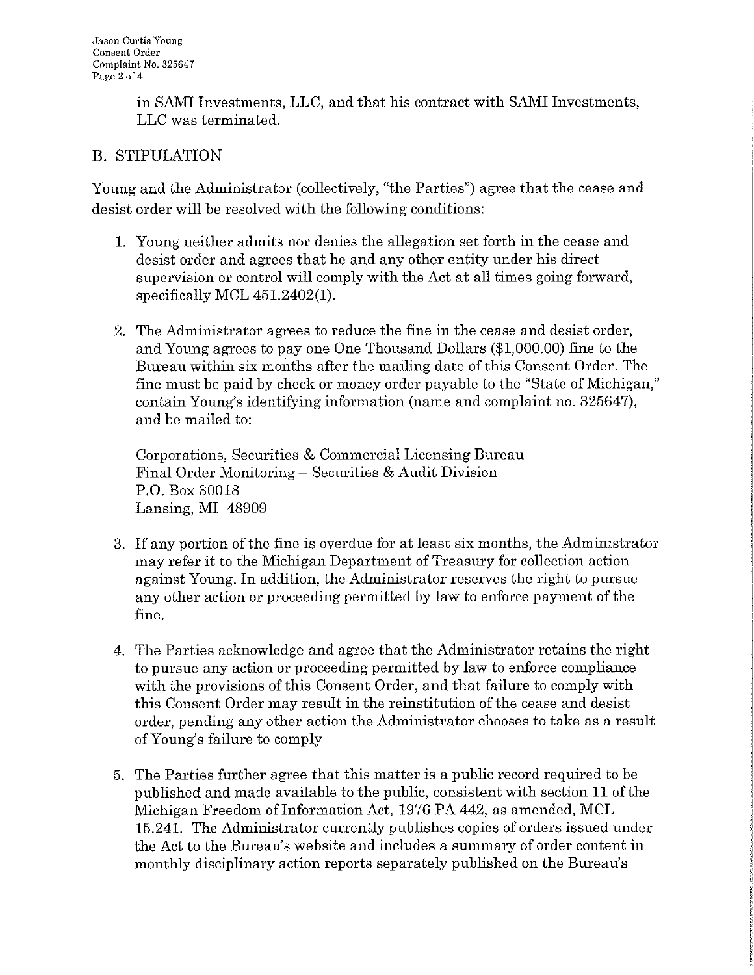in SAMI Investments, LLC, and that his contract with SAMI Investments, LLC was terminated.

# B. STIPULATION

Young and the Administrator (collectively, "the Parties") agree that the cease and desist order will be resolved with the following conditions:

- 1. Young neither admits nor denies the allegation set forth in the cease and desist order and agrees that he and any other entity under his direct supervision or control will comply with the Act at all times going forward, specifically MCL 451.2402(1).
- 2. The Administrator agrees to reduce the fine in the cease and desist order, and Young agrees to pay one One Thousand Dollars (\$1,000.00) fine to the Bureau within six months after the mailing date of this Consent Order. The fine must be paid by check or money order payable to the "State of Michigan," contain Young's identifying information (name and complaint no. 325647), and be mailed to:

Corporations, Securities & Commercial Licensing Bureau Final Order Monitoring - Securities & Audit Division P.O. Box 30018 Lansing, MI 48909

- 3. If any portion of the fine is overdue for at least six months, the Administrator may refer it to the Michigan Department of Treasury for collection action against Young. In addition, the Administrator reserves the right to pursue any other action or proceeding permitted by law to enforce payment of the fine.
- 4. The Parties acknowledge and agree that the Administrator retains the right to pursue any action or proceeding permitted by law to enforce compliance with the provisions of this Consent Order, and that failure to comply with this Consent Order may result in the reinstitution of the cease and desist order, pending any other action the Administrator chooses to take as a result of Young's failure to comply
- 5. The Parties further agree that this matter is a public record required to be published and made available to the public, consistent with section 11 of the Michigan Freedom of Information Act, 1976 PA 442, as amended, MCL 15.241. The Administrator currently publishes copies of orders issued under the Act to the Bureau's website and includes a summary of order content in monthly disciplinary action reports separately published on the Bureau's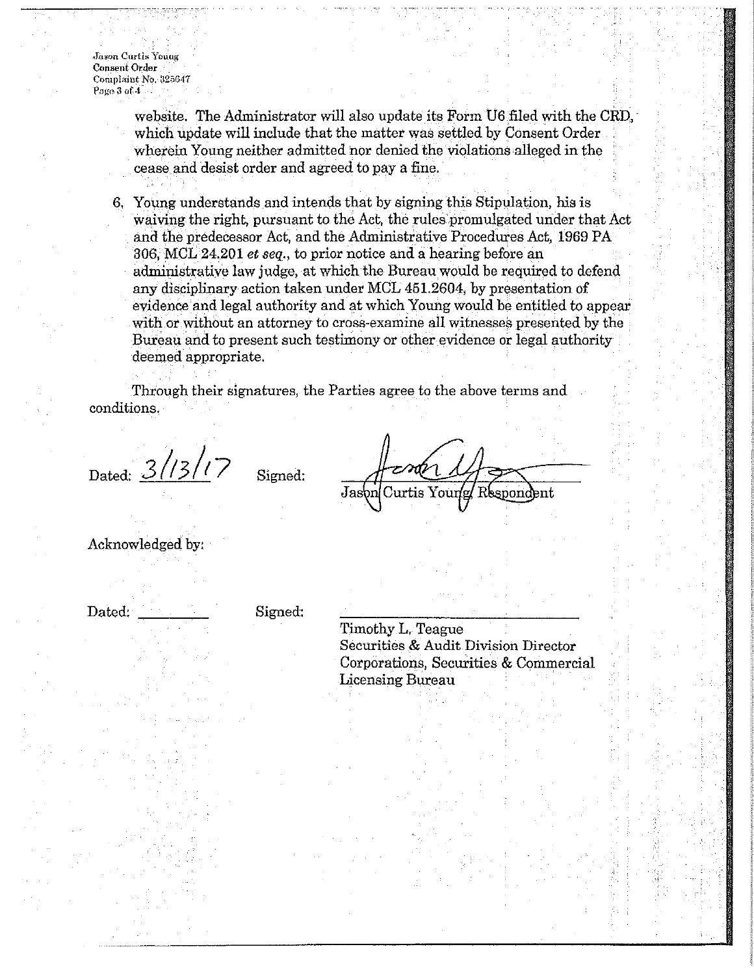**Jason Curtis Young Consent Order Complaint No. 325647 Page 3 of 4**

> website. The Administrator will also update its Form U6 filed with the CRD, which update will include that the matter was settled by Consent Order wherein Young neither admitted nor denied the violations alleged in the cease and desist order and agreed to pay a fine.

6. Young understands and intends that by signing this Stipulation, his is waiving the right, pursuant to the Act, the rules promulgated under that Act and the predecessor Act, and the Administrative Procedures Act, 1969 PA 306, MCL 24.201 *et seq.,* to prior notice and a hearing before an administrative law judge, at which the Bureau would be required to defend any disciplinary action taken under MCL 451.2604, by presentation of evidence and legal authority and at which Young would be entitled to appear with or without an attorney to cross-examine all witnesses presented by the Bureau and to present such testimony or other evidence or legal authority deemed appropriate.

Through their signatures, the Parties agree to the above terms and conditions.

Dated:  $3/13/17$ 

Jasbn Curtis Your snond

Acknowledged by:

Dated:

Signed:

Signed:

Timothy L. Teague Securities & Audit Division Director Corporations, Securities & Commercial Licensing Bureau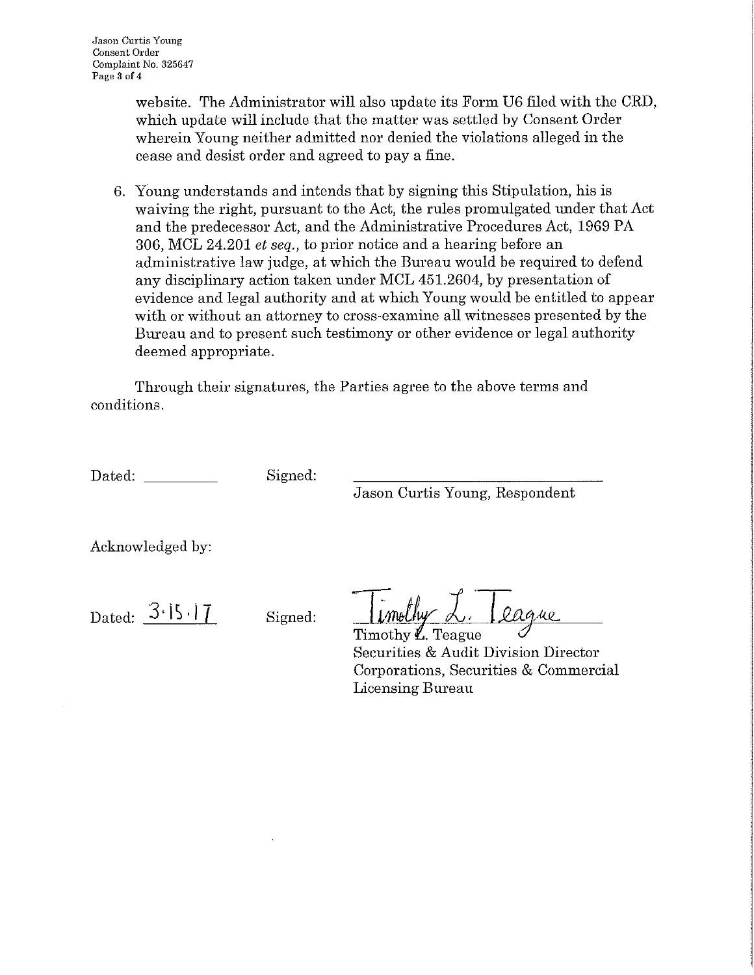website. The Administrator will also update its Form U6 filed with the CRD, which update will include that the matter was settled by Consent Order wherein Young neither admitted nor denied the violations alleged in the cease and desist order and agreed to pay a fine.

6. Young understands and intends that by signing this Stipulation, his is waiving the right, pursuant to the Act, the rules promulgated under that Act and the predecessor Act, and the Administrative Procedures Act, 1969 PA 306, MCL 24.201 *et seq.,* to prior notice and a hearing before an administrative law judge, at which the Bureau would be required to defend any disciplinary action taken under MCL 451.2604, by presentation of evidence and legal authority and at which Young would be entitled to appear with or without an attorney to cross-examine all witnesses presented by the Bureau and to present such testimony or other evidence or legal authority deemed appropriate.

Through their signatures, the Parties agree to the above terms and conditions.

Dated: Signed:

Jason Curtis Young, Respondent

Acknowledged by:

Dated:  $3.15.17$ 

Signed:

limothy L. League

Timothy  $V_{\rm L}$  Teague Securities & Audit Division Director Corporations, Securities & Commercial Licensing Bureau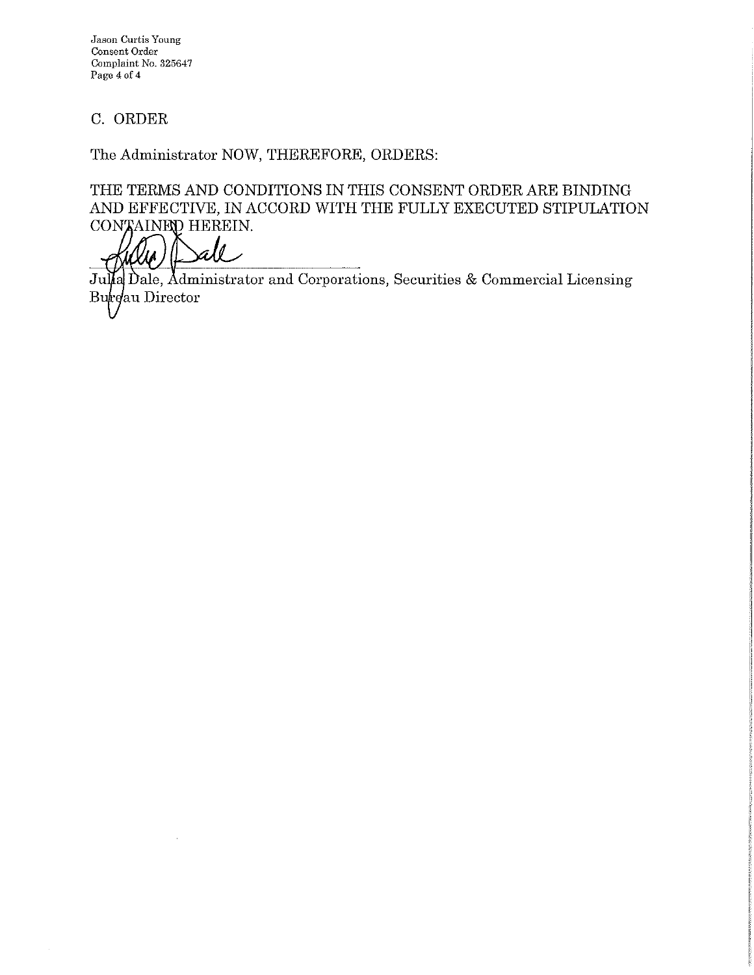**Jason Curtis Young Consent Order Co1nplaint** No. **325647 Page 4 of 4** 

# C. ORDER

The Administrator NOW, THEREFORE, ORDERS:

THE TERMS AND CONDITIONS IN THIS CONSENT ORDER ARE BINDING AND EFFECTIVE, IN ACCORD WITH THE FULLY EXECUTED STIPULATION CON AINED HEREIN.

all

Julia Dale, Administrator and Corporations, Securities & Commercial Licensing Burgau Director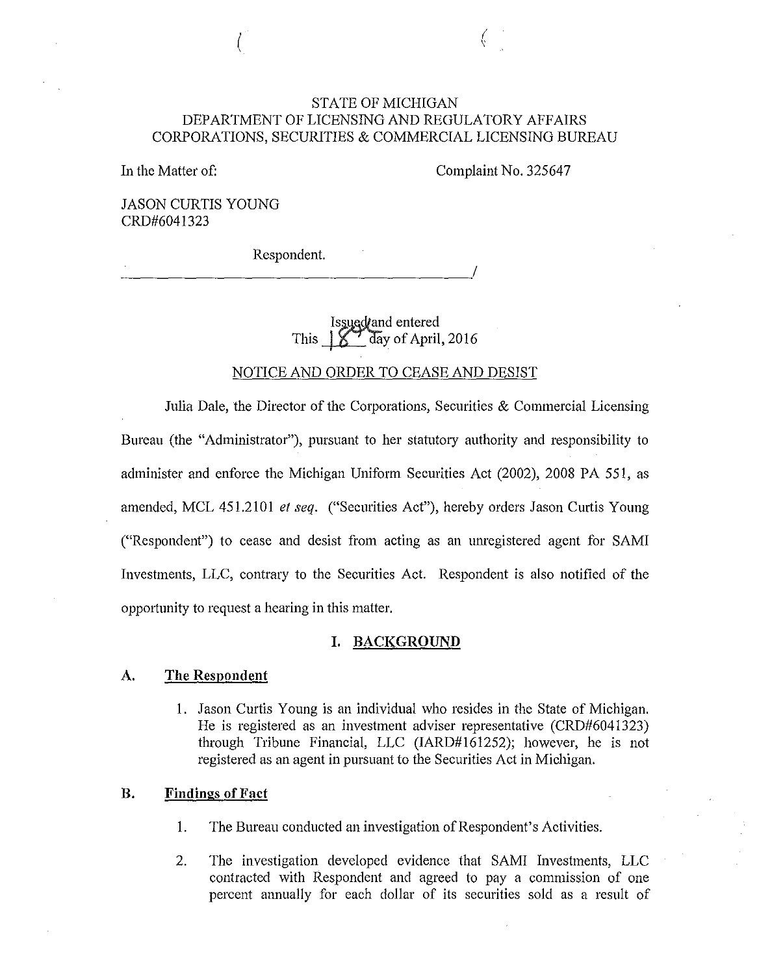## STATE OF MICHIGAN DEPARTMENT OF LICENSING AND REGULATORY AFFAIRS CORPORATIONS, SECURITIES & COMMERCIAL LICENSING BUREAU

In the Matter of:

Complaint No. 325647

(

JASON CURTIS YOUNG CRD#6041323

 $\left($ 

Respondent.

*Issued and* entered This  $\frac{1}{2}$  day of April, 2016

# NOTICE AND ORDER TO CEASE AND DESIST

Julia Dale, the Director of the Corporations, Securities & Commercial Licensing Bureau (the "Administrator"), pursuant to her statutory authority and responsibility to administer and enforce the Michigan Uniform Securities Act (2002), 2008 PA 551, as amended, MCL 451.2101 *et seq.* ("Securities Act"), hereby orders Jason Curtis Young ("Respondent") to cease and desist from acting as an unregistered agent for SAMI Investments, LLC, contrary to the Securities Act. Respondent is also notified of the opportunity to request a hearing in this matter.

#### **I. BACKGROUND**

### **A. The Respondent**

I. Jason Curtis Young is an individual who resides in the State of Michigan. He is registered as an investment adviser representative (CRD#6041323) through Tribune Financial, LLC (IARD#161252); however, he is not registered as an agent in pursuant to the Securities Act in Michigan.

#### **B. Findings of Fact**

- I. The Bureau conducted an investigation of Respondent's Activities.
- 2. The investigation developed evidence that SAMI Investments, LLC contracted with Respondent and agreed to pay a commission of one percent annually for each dollar of its securities sold as a result of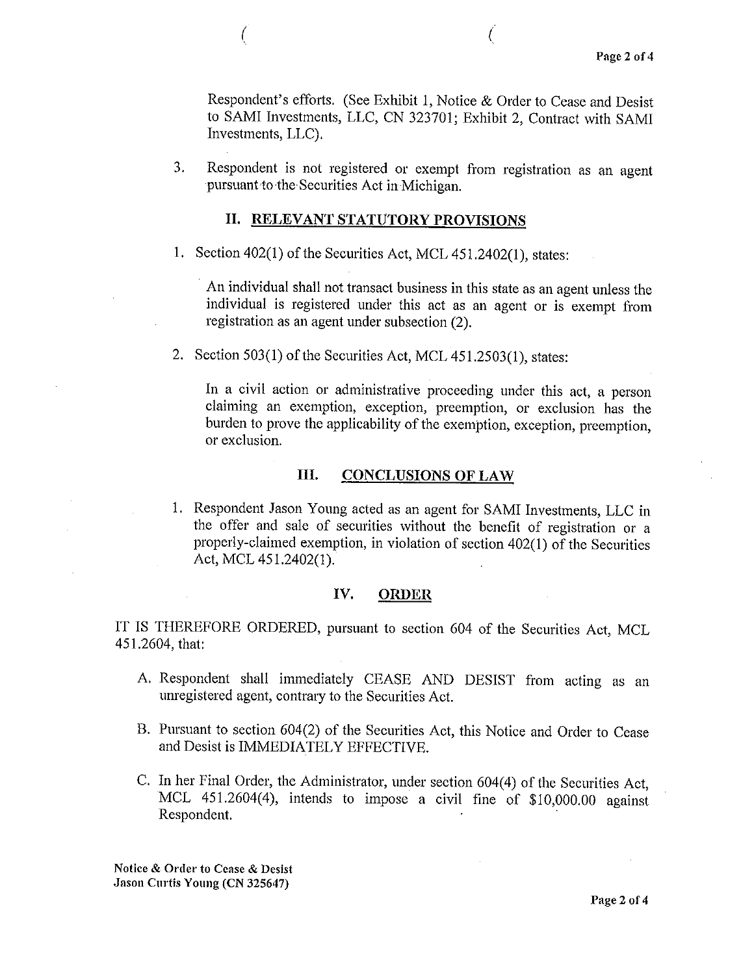Respondent's efforts, (See Exhibit 1, Notice & Order to Cease and Desist to SAMI Investments, LLC, CN 323701; Exhibit 2, Contract with SAMI Investments, LLC),

3. Respondent is not registered or exempt from registration as an agent pursuant to the Securities Act in Michigan.

#### **II. RELEVANT STATUTORY PROVISIONS**

 $($ 

1. Section 402(1) of the Securities Act, MCL 451.2402(1), states:

An individual shall not transact business in this state as an agent unless the individual is registered under this act as an agent or is exempt from registration as an agent under subsection (2).

2. Section 503(1) of the Securities Act, MCL 451.2503(1), states:

In a civil action or administrative proceeding under this act, a person claiming an exemption, exception, preemption, or exclusion has the burden to prove the applicability of the exemption, exception, preemption, or exclusion.

## **III. CONCLUSIONS OF LAW**

I. Respondent Jason Young acted as an agent for SAMI Investments, LLC in the offer and sale of securities without the benefit of registration or a properly-claimed exemption, in violation of section 402(1) of the Securities Act, MCL 451.2402(1).

#### **IV. ORDER**

IT IS THEREFORE ORDERED, pursuant to section 604 of the Securities Act, MCL 451.2604, that:

- A. Respondent shall immediately CEASE AND DESIST from acting as an unregistered agent, contrary to the Securities Act.
- B. Pursuant to section 604(2) of the Securities Act, this Notice and Order to Cease and Desist is IMMEDIATELY EFFECTIVE.
- C. In her Final Order, the Administrator, under section 604(4) of the Securities Act, MCL 451.2604(4), intends to impose a civil fine of \$10,000.00 against Respondent.

Notice & Order to Cease & Desist Jason Curtis Young (CN 325647)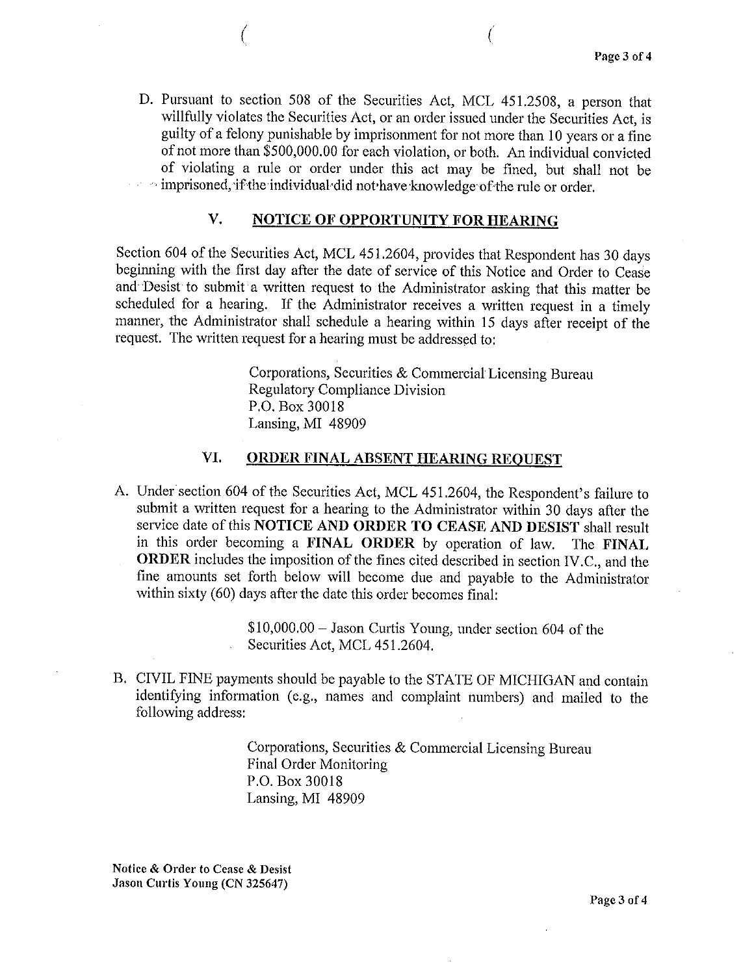D. Pursuant to section 508 of the Securities Act, MCL 451.2508, a person that willfully violates the Securities Act, or an order issued under the Securities Act, is guilty of a felony punishable by imprisonment for not more than IO years or a fine of not more than \$500,000.00 for each violation, or both. An individual convicted of violating a rule or order under this act may be fined, but shall not be  $\cdot$  imprisoned, if the individual did not have knowledge of the rule or order.

(as a contract of  $\overline{a}$ 

## V. NOTICE OF OPPORTUNITY FOR HEARING

Section 604 of the Securities Act, MCL 451.2604, provides that Respondent has 30 days beginning with the first day after the date of service of this Notice and Order to Cease and Desist to submit a written request to the Administrator asking that this matter be scheduled for a hearing. If the Administrator receives a written request in a timely manner, the Administrator shall schedule a hearing within 15 days after receipt of the request. The written request for a hearing must be addressed to:

> Corporations, Securities & Commercial Licensing Bureau Regulatory Compliance Division P.O. Box 30018 Lansing, MI 48909

### VI. ORDER FINAL ABSENT HEARING REQUEST

A. Under section 604 of the Securities Act, MCL 451.2604, the Respondent's failure to submit a written request for a hearing to the Administrator within 30 days after the service date of this NOTICE AND ORDER TO CEASE AND DESIST shall result in this order becoming a FINAL ORDER by operation of law. The FINAL ORDER includes the imposition of the fines cited described in section IV .C., and the fine amounts set forth below will become due and payable to the Administrator within sixty (60) days after the date this order becomes final:

> \$10,000.00 - Jason Curtis Young, under section 604 of the Securities Act, MCL 451.2604.

B. CIVIL FINE payments should be payable to the STATE OF MICHIGAN and contain identifying information (e.g., names and complaint numbers) and mailed to the following address:

> Corporations, Securities & Commercial Licensing Bureau Final Order Monitoring P.O. Box 30018 Lansing, MI 48909

Notice & Order to Cease & Desist Jason Curtis Young (CN 325647)